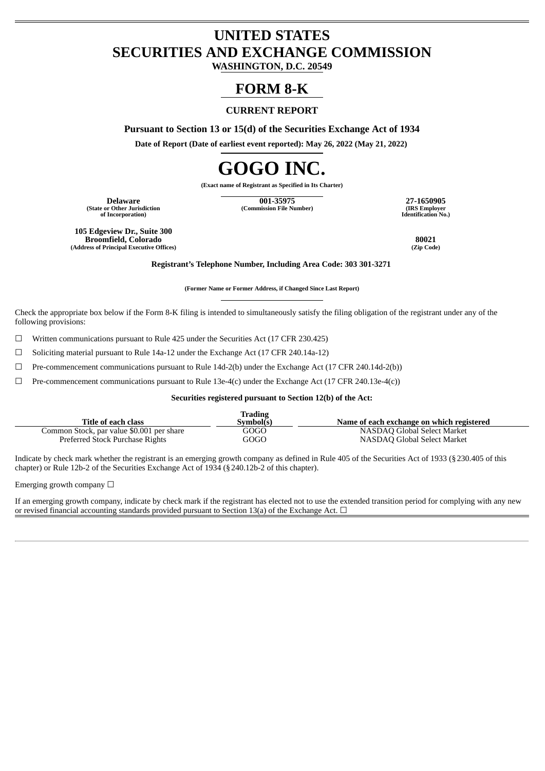# **UNITED STATES SECURITIES AND EXCHANGE COMMISSION**

**WASHINGTON, D.C. 20549**

# **FORM 8-K**

# **CURRENT REPORT**

**Pursuant to Section 13 or 15(d) of the Securities Exchange Act of 1934**

**Date of Report (Date of earliest event reported): May 26, 2022 (May 21, 2022)**

# **GOGO INC.**

**(Exact name of Registrant as Specified in Its Charter)**

**(State or Other Jurisdiction of Incorporation)**

**Delaware 001-35975 27-1650905 (Commission File Number) (IRS Employer**

**Identification No.)**

**105 Edgeview Dr., Suite 300 Broomfield, Colorado 80021 (Address of Principal Executive Offices) (Zip Code)**

**Registrant's Telephone Number, Including Area Code: 303 301-3271**

**(Former Name or Former Address, if Changed Since Last Report)**

Check the appropriate box below if the Form 8-K filing is intended to simultaneously satisfy the filing obligation of the registrant under any of the following provisions:

☐ Written communications pursuant to Rule 425 under the Securities Act (17 CFR 230.425)

☐ Soliciting material pursuant to Rule 14a-12 under the Exchange Act (17 CFR 240.14a-12)

 $\Box$  Pre-commencement communications pursuant to Rule 14d-2(b) under the Exchange Act (17 CFR 240.14d-2(b))

 $\Box$  Pre-commencement communications pursuant to Rule 13e-4(c) under the Exchange Act (17 CFR 240.13e-4(c))

### **Securities registered pursuant to Section 12(b) of the Act:**

| Trading                                   |           |                                           |  |  |
|-------------------------------------------|-----------|-------------------------------------------|--|--|
| Title of each class                       | Svmbol(s) | Name of each exchange on which registered |  |  |
| Common Stock, par value \$0.001 per share | GOGO      | NASDAO Global Select Market               |  |  |
| Preferred Stock Purchase Rights           | GOGO      | NASDAO Global Select Market               |  |  |

Indicate by check mark whether the registrant is an emerging growth company as defined in Rule 405 of the Securities Act of 1933 (§230.405 of this chapter) or Rule 12b-2 of the Securities Exchange Act of 1934 (§240.12b-2 of this chapter).

Emerging growth company  $\Box$ 

If an emerging growth company, indicate by check mark if the registrant has elected not to use the extended transition period for complying with any new or revised financial accounting standards provided pursuant to Section 13(a) of the Exchange Act.  $\Box$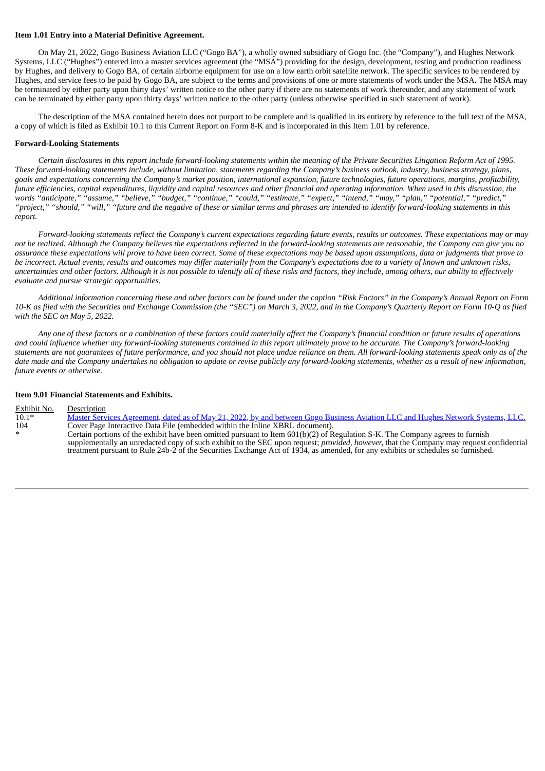#### **Item 1.01 Entry into a Material Definitive Agreement.**

On May 21, 2022, Gogo Business Aviation LLC ("Gogo BA"), a wholly owned subsidiary of Gogo Inc. (the "Company"), and Hughes Network Systems, LLC ("Hughes") entered into a master services agreement (the "MSA") providing for the design, development, testing and production readiness by Hughes, and delivery to Gogo BA, of certain airborne equipment for use on a low earth orbit satellite network. The specific services to be rendered by Hughes, and service fees to be paid by Gogo BA, are subject to the terms and provisions of one or more statements of work under the MSA. The MSA may be terminated by either party upon thirty days' written notice to the other party if there are no statements of work thereunder, and any statement of work can be terminated by either party upon thirty days' written notice to the other party (unless otherwise specified in such statement of work).

The description of the MSA contained herein does not purport to be complete and is qualified in its entirety by reference to the full text of the MSA, a copy of which is filed as Exhibit 10.1 to this Current Report on Form 8-K and is incorporated in this Item 1.01 by reference.

#### **Forward-Looking Statements**

Certain disclosures in this report include forward-looking statements within the meaning of the Private Securities Litigation Reform Act of 1995. These forward-looking statements include, without limitation, statements regarding the Company's business outlook, industry, business strategy, plans, goals and expectations concerning the Company's market position, international expansion, future technologies, future operations, margins, profitability, future efficiencies, capital expenditures, liquidity and capital resources and other financial and operating information. When used in this discussion, the words "anticipate," "assume," "believe," "budget," "continue," "could," "estimate," "expect," "intend," "may," "plan," "potential," "predict," "project," "should," "will," "future and the negative of these or similar terms and phrases are intended to identify forward-looking statements in this *report.*

Forward-looking statements reflect the Company's current expectations regarding future events, results or outcomes. These expectations may or may not be realized. Although the Company believes the expectations reflected in the forward-looking statements are reasonable, the Company can give you no assurance these expectations will prove to have been correct. Some of these expectations may be based upon assumptions, data or judgments that prove to be incorrect. Actual events, results and outcomes may differ materially from the Company's expectations due to a variety of known and unknown risks, uncertainties and other factors. Although it is not possible to identify all of these risks and factors, they include, among others, our ability to effectively *evaluate and pursue strategic opportunities.*

Additional information concerning these and other factors can be found under the caption "Risk Factors" in the Company's Annual Report on Form 10-K as filed with the Securities and Exchange Commission (the "SEC") on March 3, 2022, and in the Company's Quarterly Report on Form 10-Q as filed *with the SEC on May 5, 2022.*

Any one of these factors or a combination of these factors could materially affect the Company's financial condition or future results of operations and could influence whether any forward-looking statements contained in this report ultimately prove to be accurate. The Company's forward-looking statements are not quarantees of future performance, and you should not place undue reliance on them. All forward-looking statements speak only as of the date made and the Company undertakes no obligation to update or revise publicly any forward-looking statements, whether as a result of new information, *future events or otherwise.*

#### **Item 9.01 Financial Statements and Exhibits.**

| Exhibit No. | Description                                                                                                                                    |
|-------------|------------------------------------------------------------------------------------------------------------------------------------------------|
| $10.1*$     | <u>Master Services Agreement, dated as of May 21, 2022, by and between Gogo Business Aviation LLC and Hughes Network Systems, LLC.</u>         |
| 104         | Cover Page Interactive Data File (embedded within the Inline XBRL document).                                                                   |
| $\ast$      | Certain portions of the exhibit have been omitted pursuant to Item 601(b)(2) of Regulation S-K. The Company agrees to furnish                  |
|             | supplementally an unredacted copy of such exhibit to the SEC upon request; <i>provided, however,</i> that the Company may request confidential |
|             | treatment pursuant to Rule 24b-2 of the Securities Exchange Act of 1934, as amended, for any exhibits or schedules so furnished.               |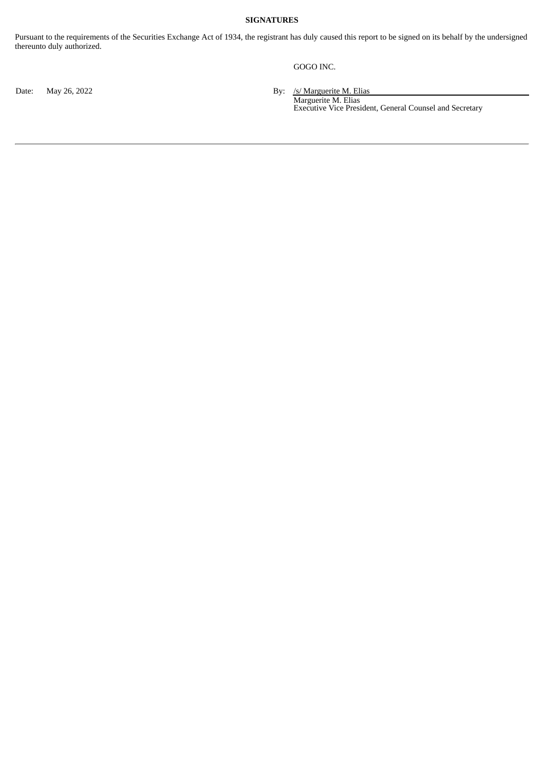## **SIGNATURES**

Pursuant to the requirements of the Securities Exchange Act of 1934, the registrant has duly caused this report to be signed on its behalf by the undersigned thereunto duly authorized.

## GOGO INC.

Date: May 26, 2022 **By:** /s/ Marguerite M. Elias

Marguerite M. Elias Executive Vice President, General Counsel and Secretary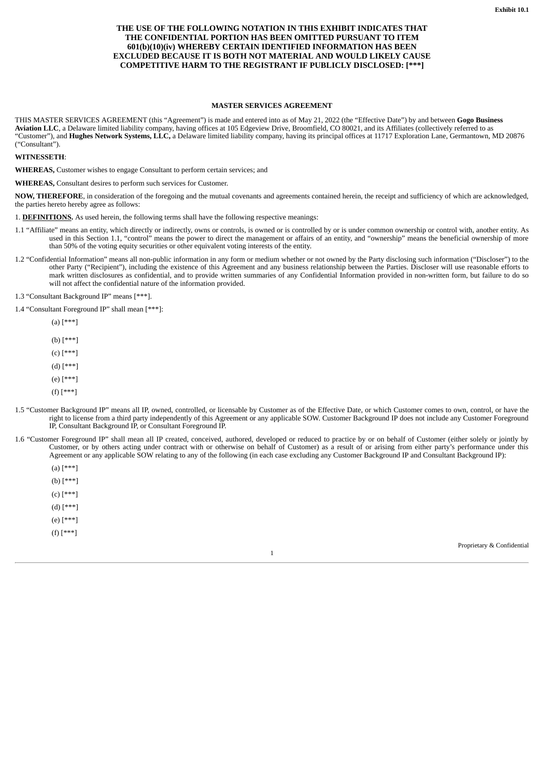#### <span id="page-3-0"></span>**THE USE OF THE FOLLOWING NOTATION IN THIS EXHIBIT INDICATES THAT THE CONFIDENTIAL PORTION HAS BEEN OMITTED PURSUANT TO ITEM 601(b)(10)(iv) WHEREBY CERTAIN IDENTIFIED INFORMATION HAS BEEN EXCLUDED BECAUSE IT IS BOTH NOT MATERIAL AND WOULD LIKELY CAUSE COMPETITIVE HARM TO THE REGISTRANT IF PUBLICLY DISCLOSED: [\*\*\*]**

#### **MASTER SERVICES AGREEMENT**

THIS MASTER SERVICES AGREEMENT (this "Agreement") is made and entered into as of May 21, 2022 (the "Effective Date") by and between **Gogo Business Aviation LLC**, a Delaware limited liability company, having offices at 105 Edgeview Drive, Broomfield, CO 80021, and its Affiliates (collectively referred to as "Customer"), and **Hughes Network Systems, LLC,** a Delaware limited liability company, having its principal offices at 11717 Exploration Lane, Germantown, MD 20876 ("Consultant").

**WITNESSETH**:

**WHEREAS,** Customer wishes to engage Consultant to perform certain services; and

**WHEREAS,** Consultant desires to perform such services for Customer.

**NOW, THEREFORE**, in consideration of the foregoing and the mutual covenants and agreements contained herein, the receipt and sufficiency of which are acknowledged, the parties hereto hereby agree as follows:

1. **DEFINITIONS.** As used herein, the following terms shall have the following respective meanings:

- 1.1 "Affiliate" means an entity, which directly or indirectly, owns or controls, is owned or is controlled by or is under common ownership or control with, another entity. As used in this Section 1.1, "control" means the power to direct the management or affairs of an entity, and "ownership" means the beneficial ownership of more than 50% of the voting equity securities or other equivalent voting interests of the entity.
- 1.2 "Confidential Information" means all non-public information in any form or medium whether or not owned by the Party disclosing such information ("Discloser") to the other Party ("Recipient"), including the existence of this Agreement and any business relationship between the Parties. Discloser will use reasonable efforts to mark written disclosures as confidential, and to provide written summaries of any Confidential Information provided in non-written form, but failure to do so will not affect the confidential nature of the information provided.

1.3 "Consultant Background IP" means [\*\*\*].

1.4 "Consultant Foreground IP" shall mean [\*\*\*]:

 $(a)$  [\*\*\*]

(b) [\*\*\*]

(c) [\*\*\*]

(d) [\*\*\*]

(e) [\*\*\*]

(f) [\*\*\*]

- 1.5 "Customer Background IP" means all IP, owned, controlled, or licensable by Customer as of the Effective Date, or which Customer comes to own, control, or have the right to license from a third party independently of this Agreement or any applicable SOW. Customer Background IP does not include any Customer Foreground IP, Consultant Background IP, or Consultant Foreground IP.
- 1.6 "Customer Foreground IP" shall mean all IP created, conceived, authored, developed or reduced to practice by or on behalf of Customer (either solely or jointly by Customer, or by others acting under contract with or otherwise on behalf of Customer) as a result of or arising from either party's performance under this Agreement or any applicable SOW relating to any of the following (in each case excluding any Customer Background IP and Consultant Background IP):

1

 $(a)$  [\*\*\*] (b) [\*\*\*] (c) [\*\*\*] (d) [\*\*\*] (e) [\*\*\*] (f) [\*\*\*]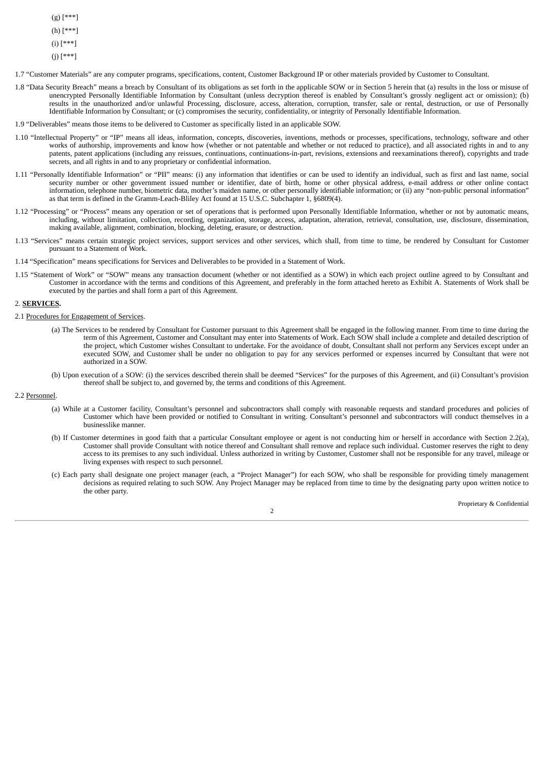- (g) [\*\*\*]
- $(h)$  [\*
- 

(i) [\*\*\*]

(j) [\*\*\*]

1.7 "Customer Materials" are any computer programs, specifications, content, Customer Background IP or other materials provided by Customer to Consultant.

- 1.8 "Data Security Breach" means a breach by Consultant of its obligations as set forth in the applicable SOW or in Section 5 herein that (a) results in the loss or misuse of unencrypted Personally Identifiable Information by Consultant (unless decryption thereof is enabled by Consultant's grossly negligent act or omission); (b) results in the unauthorized and/or unlawful Processing, disclosure, access, alteration, corruption, transfer, sale or rental, destruction, or use of Personally Identifiable Information by Consultant; or (c) compromises the security, confidentiality, or integrity of Personally Identifiable Information.
- 1.9 "Deliverables" means those items to be delivered to Customer as specifically listed in an applicable SOW.
- 1.10 "Intellectual Property" or "IP" means all ideas, information, concepts, discoveries, inventions, methods or processes, specifications, technology, software and other works of authorship, improvements and know how (whether or not patentable and whether or not reduced to practice), and all associated rights in and to any patents, patent applications (including any reissues, continuations, continuations-in-part, revisions, extensions and reexaminations thereof), copyrights and trade secrets, and all rights in and to any proprietary or confidential information.
- 1.11 "Personally Identifiable Information" or "PII" means: (i) any information that identifies or can be used to identify an individual, such as first and last name, social security number or other government issued number or identifier, date of birth, home or other physical address, e-mail address or other online contact information, telephone number, biometric data, mother's maiden name, or other personally identifiable information; or (ii) any "non-public personal information" as that term is defined in the Gramm-Leach-Bliley Act found at 15 U.S.C. Subchapter 1, §6809(4).
- 1.12 "Processing" or "Process" means any operation or set of operations that is performed upon Personally Identifiable Information, whether or not by automatic means, including, without limitation, collection, recording, organization, storage, access, adaptation, alteration, retrieval, consultation, use, disclosure, dissemination, making available, alignment, combination, blocking, deleting, erasure, or destruction.
- 1.13 "Services" means certain strategic project services, support services and other services, which shall, from time to time, be rendered by Consultant for Customer pursuant to a Statement of Work.
- 1.14 "Specification" means specifications for Services and Deliverables to be provided in a Statement of Work.
- 1.15 "Statement of Work" or "SOW" means any transaction document (whether or not identified as a SOW) in which each project outline agreed to by Consultant and Customer in accordance with the terms and conditions of this Agreement, and preferably in the form attached hereto as Exhibit A. Statements of Work shall be executed by the parties and shall form a part of this Agreement.

2. **SERVICES.**

- 2.1 Procedures for Engagement of Services.
	- (a) The Services to be rendered by Consultant for Customer pursuant to this Agreement shall be engaged in the following manner. From time to time during the term of this Agreement, Customer and Consultant may enter into Statements of Work. Each SOW shall include a complete and detailed description of the project, which Customer wishes Consultant to undertake. For the avoidance of doubt, Consultant shall not perform any Services except under an executed SOW, and Customer shall be under no obligation to pay for any services performed or expenses incurred by Consultant that were not authorized in a SOW.
	- (b) Upon execution of a SOW: (i) the services described therein shall be deemed "Services" for the purposes of this Agreement, and (ii) Consultant's provision thereof shall be subject to, and governed by, the terms and conditions of this Agreement.

#### 2.2 Personnel.

- (a) While at a Customer facility, Consultant's personnel and subcontractors shall comply with reasonable requests and standard procedures and policies of Customer which have been provided or notified to Consultant in writing. Consultant's personnel and subcontractors will conduct themselves in a businesslike manner.
- (b) If Customer determines in good faith that a particular Consultant employee or agent is not conducting him or herself in accordance with Section 2.2(a), Customer shall provide Consultant with notice thereof and Consultant shall remove and replace such individual. Customer reserves the right to deny access to its premises to any such individual. Unless authorized in writing by Customer, Customer shall not be responsible for any travel, mileage or living expenses with respect to such personnel.
- (c) Each party shall designate one project manager (each, a "Project Manager") for each SOW, who shall be responsible for providing timely management decisions as required relating to such SOW. Any Project Manager may be replaced from time to time by the designating party upon written notice to the other party.

2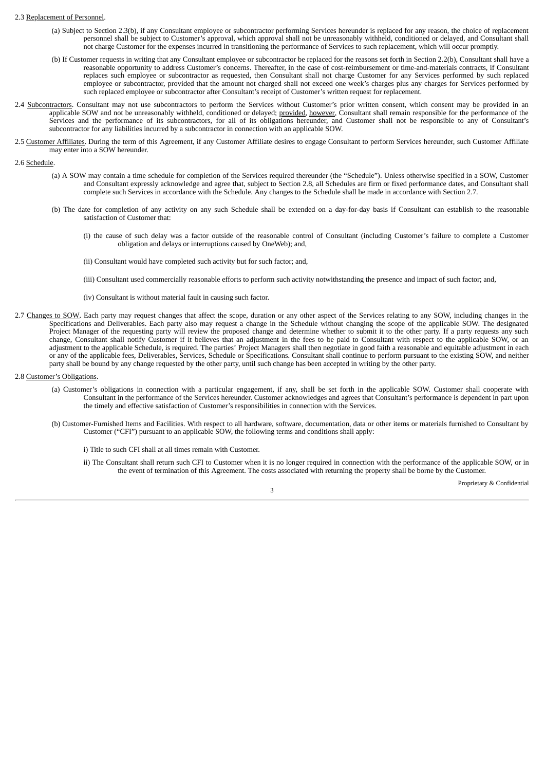#### 2.3 Replacement of Personnel.

- (a) Subject to Section 2.3(b), if any Consultant employee or subcontractor performing Services hereunder is replaced for any reason, the choice of replacement personnel shall be subject to Customer's approval, which approval shall not be unreasonably withheld, conditioned or delayed, and Consultant shall not charge Customer for the expenses incurred in transitioning the performance of Services to such replacement, which will occur promptly.
- (b) If Customer requests in writing that any Consultant employee or subcontractor be replaced for the reasons set forth in Section 2.2(b), Consultant shall have a reasonable opportunity to address Customer's concerns. Thereafter, in the case of cost-reimbursement or time-and-materials contracts, if Consultant replaces such employee or subcontractor as requested, then Consultant shall not charge Customer for any Services performed by such replaced employee or subcontractor, provided that the amount not charged shall not exceed one week's charges plus any charges for Services performed by such replaced employee or subcontractor after Consultant's receipt of Customer's written request for replacement.
- 2.4 Subcontractors. Consultant may not use subcontractors to perform the Services without Customer's prior written consent, which consent may be provided in an applicable SOW and not be unreasonably withheld, conditioned or delayed; provided, however, Consultant shall remain responsible for the performance of the Services and the performance of its subcontractors, for all of its obligations hereunder, and Customer shall not be responsible to any of Consultant's subcontractor for any liabilities incurred by a subcontractor in connection with an applicable SOW.
- 2.5 Customer Affiliates. During the term of this Agreement, if any Customer Affiliate desires to engage Consultant to perform Services hereunder, such Customer Affiliate may enter into a SOW hereunder.

#### 2.6 Schedule.

- (a) A SOW may contain a time schedule for completion of the Services required thereunder (the "Schedule"). Unless otherwise specified in a SOW, Customer and Consultant expressly acknowledge and agree that, subject to Section 2.8, all Schedules are firm or fixed performance dates, and Consultant shall complete such Services in accordance with the Schedule. Any changes to the Schedule shall be made in accordance with Section 2.7.
- (b) The date for completion of any activity on any such Schedule shall be extended on a day-for-day basis if Consultant can establish to the reasonable satisfaction of Customer that:
	- (i) the cause of such delay was a factor outside of the reasonable control of Consultant (including Customer's failure to complete a Customer obligation and delays or interruptions caused by OneWeb); and,
	- (ii) Consultant would have completed such activity but for such factor; and,
	- (iii) Consultant used commercially reasonable efforts to perform such activity notwithstanding the presence and impact of such factor; and,
	- (iv) Consultant is without material fault in causing such factor.
- 2.7 Changes to SOW. Each party may request changes that affect the scope, duration or any other aspect of the Services relating to any SOW, including changes in the Specifications and Deliverables. Each party also may request a change in the Schedule without changing the scope of the applicable SOW. The designated Project Manager of the requesting party will review the proposed change and determine whether to submit it to the other party. If a party requests any such change, Consultant shall notify Customer if it believes that an adjustment in the fees to be paid to Consultant with respect to the applicable SOW, or an adjustment to the applicable Schedule, is required. The parties' Project Managers shall then negotiate in good faith a reasonable and equitable adjustment in each adjustment in each or any of the applicable fees, Deliverables, Services, Schedule or Specifications. Consultant shall continue to perform pursuant to the existing SOW, and neither party shall be bound by any change requested by the other party, until such change has been accepted in writing by the other party.
- 2.8 Customer's Obligations.
	- (a) Customer's obligations in connection with a particular engagement, if any, shall be set forth in the applicable SOW. Customer shall cooperate with Consultant in the performance of the Services hereunder. Customer acknowledges and agrees that Consultant's performance is dependent in part upon the timely and effective satisfaction of Customer's responsibilities in connection with the Services.
	- (b) Customer-Furnished Items and Facilities. With respect to all hardware, software, documentation, data or other items or materials furnished to Consultant by Customer ("CFI") pursuant to an applicable SOW, the following terms and conditions shall apply:

i) Title to such CFI shall at all times remain with Customer.

ii) The Consultant shall return such CFI to Customer when it is no longer required in connection with the performance of the applicable SOW, or in the event of termination of this Agreement. The costs associated with returning the property shall be borne by the Customer.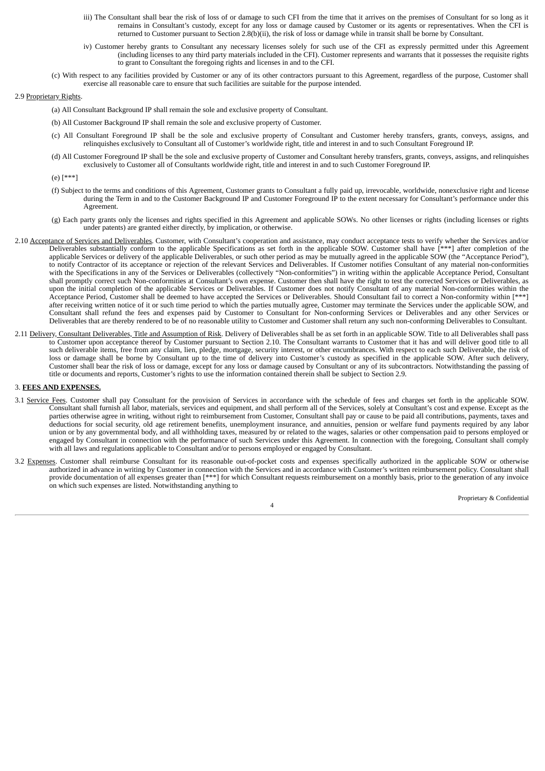iii) The Consultant shall bear the risk of loss of or damage to such CFI from the time that it arrives on the premises of Consultant for so long as it remains in Consultant's custody, except for any loss or damage caused by Customer or its agents or representatives. When the CFI is returned to Customer pursuant to Section 2.8(b)(ii), the risk of loss or damage while in transit shall be borne by Consultant.

- iv) Customer hereby grants to Consultant any necessary licenses solely for such use of the CFI as expressly permitted under this Agreement (including licenses to any third party materials included in the CFI). Customer represents and warrants that it possesses the requisite rights to grant to Consultant the foregoing rights and licenses in and to the CFI.
- (c) With respect to any facilities provided by Customer or any of its other contractors pursuant to this Agreement, regardless of the purpose, Customer shall exercise all reasonable care to ensure that such facilities are suitable for the purpose intended.

#### 2.9 Proprietary Rights.

- (a) All Consultant Background IP shall remain the sole and exclusive property of Consultant.
- (b) All Customer Background IP shall remain the sole and exclusive property of Customer.
- (c) All Consultant Foreground IP shall be the sole and exclusive property of Consultant and Customer hereby transfers, grants, conveys, assigns, and relinquishes exclusively to Consultant all of Customer's worldwide right, title and interest in and to such Consultant Foreground IP.
- (d) All Customer Foreground IP shall be the sole and exclusive property of Customer and Consultant hereby transfers, grants, conveys, assigns, and relinquishes exclusively to Customer all of Consultants worldwide right, title and interest in and to such Customer Foreground IP.
- (e) [\*\*\*]
- (f) Subject to the terms and conditions of this Agreement, Customer grants to Consultant a fully paid up, irrevocable, worldwide, nonexclusive right and license during the Term in and to the Customer Background IP and Customer Foreground IP to the extent necessary for Consultant's performance under this Agreement.
- (g) Each party grants only the licenses and rights specified in this Agreement and applicable SOWs. No other licenses or rights (including licenses or rights under patents) are granted either directly, by implication, or otherwise.
- 2.10 Acceptance of Services and Deliverables. Customer, with Consultant's cooperation and assistance, may conduct acceptance tests to verify whether the Services and/or Deliverables substantially conform to the applicable Specifications as set forth in the applicable SOW. Customer shall have [\*\*\*] after completion of the applicable Services or delivery of the applicable Deliverables, or such other period as may be mutually agreed in the applicable SOW (the "Acceptance Period"), to notify Contractor of its acceptance or rejection of the relevant Services and Deliverables. If Customer notifies Consultant of any material non-conformities with the Specifications in any of the Services or Deliverables (collectively "Non-conformities") in writing within the applicable Acceptance Period, Consultant shall promptly correct such Non-conformities at Consultant's own expense. Customer then shall have the right to test the corrected Services or Deliverables, as upon the initial completion of the applicable Services or Deliverables. If Customer does not notify Consultant of any material Non-conformities within the Acceptance Period, Customer shall be deemed to have accepted the Services or Deliverables. Should Consultant fail to correct a Non-conformity within [\*\*\*] after receiving written notice of it or such time period to which the parties mutually agree, Customer may terminate the Services under the applicable SOW, and Consultant shall refund the fees and expenses paid by Customer to Consultant for Non-conforming Services or Deliverables and any other Services or Deliverables that are thereby rendered to be of no reasonable utility to Customer and Customer shall return any such non-conforming Deliverables to Consultant.
- 2.11 Delivery, Consultant Deliverables, Title and Assumption of Risk. Delivery of Deliverables shall be as set forth in an applicable SOW. Title to all Deliverables shall pass to Customer upon acceptance thereof by Customer pursuant to Section 2.10. The Consultant warrants to Customer that it has and will deliver good title to all such deliverable items, free from any claim, lien, pledge, mortgage, security interest, or other encumbrances. With respect to each such Deliverable, the risk of loss or damage shall be borne by Consultant up to the time of delivery into Customer's custody as specified in the applicable SOW. After such delivery, Customer shall bear the risk of loss or damage, except for any loss or damage caused by Consultant or any of its subcontractors. Notwithstanding the passing of title or documents and reports, Customer's rights to use the information contained therein shall be subject to Section 2.9.

#### 3. **FEES AND EXPENSES.**

- 3.1 Service Fees. Customer shall pay Consultant for the provision of Services in accordance with the schedule of fees and charges set forth in the applicable SOW. Consultant shall furnish all labor, materials, services and equipment, and shall perform all of the Services, solely at Consultant's cost and expense. Except as the parties otherwise agree in writing, without right to reimbursement from Customer, Consultant shall pay or cause to be paid all contributions, payments, taxes and deductions for social security, old age retirement benefits, unemployment insurance, and annuities, pension or welfare fund payments required by any labor union or by any governmental body, and all withholding taxes, measured by or related to the wages, salaries or other compensation paid to persons employed or engaged by Consultant in connection with the performance of such Services under this Agreement. In connection with the foregoing, Consultant shall comply with all laws and regulations applicable to Consultant and/or to persons employed or engaged by Consultant.
- 3.2 Expenses. Customer shall reimburse Consultant for its reasonable out-of-pocket costs and expenses specifically authorized in the applicable SOW or otherwise authorized in advance in writing by Customer in connection with the Services and in accordance with Customer's written reimbursement policy. Consultant shall provide documentation of all expenses greater than [\*\*\*] for which Consultant requests reimbursement on a monthly basis, prior to the generation of any invoice on which such expenses are listed. Notwithstanding anything to

Proprietary & Confidential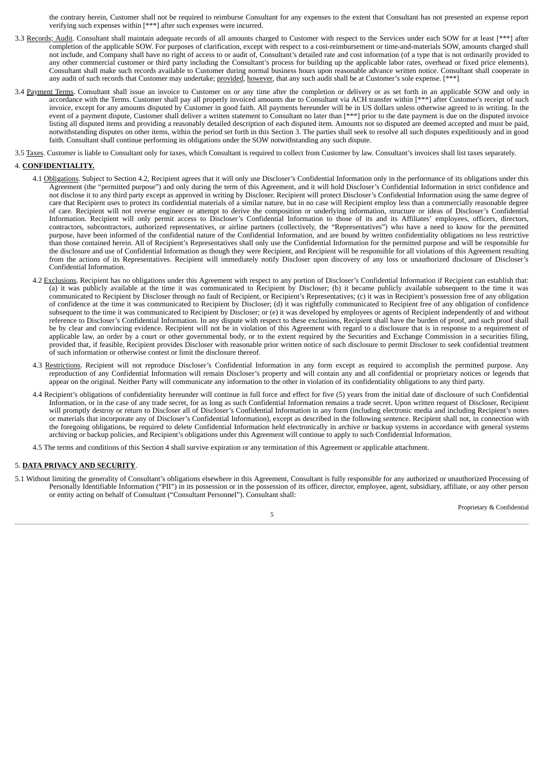the contrary herein, Customer shall not be required to reimburse Consultant for any expenses to the extent that Consultant has not presented an expense report verifying such expenses within [\*\*\*] after such expenses were incurred.

- 3.3 Records; Audit. Consultant shall maintain adequate records of all amounts charged to Customer with respect to the Services under each SOW for at least [\*\*\*] after completion of the applicable SOW. For purposes of clarification, except with respect to a cost-reimbursement or time-and-materials SOW, amounts charged shall not include, and Company shall have no right of access to or audit of, Consultant's detailed rate and cost information (of a type that is not ordinarily provided to any other commercial customer or third party including the Consultant's process for building up the applicable labor rates, overhead or fixed price elements). Consultant shall make such records available to Customer during normal business hours upon reasonable advance written notice. Consultant shall cooperate in any audit of such records that Customer may undertake; provided, however, that any such audit shall be at Customer's sole expense. [\*\*\*
- 3.4 Payment Terms. Consultant shall issue an invoice to Customer on or any time after the completion or delivery or as set forth in an applicable SOW and only in accordance with the Terms. Customer shall pay all properly invoiced amounts due to Consultant via ACH transfer within [\*\*\*] after Customer's receipt of such invoice, except for any amounts disputed by Customer in good faith. All payments hereunder will be in US dollars unless otherwise agreed to in writing. In the event of a payment dispute, Customer shall deliver a written statement to Consultant no later than [\*\*\*] prior to the date payment is due on the disputed invoice listing all disputed items and providing a reasonably detailed description of each disputed item. Amounts not so disputed are deemed accepted and must be paid, notwithstanding disputes on other items, within the period set forth in this Section 3. The parties shall seek to resolve all such disputes expeditiously and in good faith. Consultant shall continue performing its obligations under the SOW notwithstanding any such dispute.
- 3.5 Taxes. Customer is liable to Consultant only for taxes, which Consultant is required to collect from Customer by law. Consultant's invoices shall list taxes separately.

#### 4. **CONFIDENTIALITY.**

- 4.1 Obligations. Subject to Section 4.2, Recipient agrees that it will only use Discloser's Confidential Information only in the performance of its obligations under this Agreement (the "permitted purpose") and only during the term of this Agreement, and it will hold Discloser's Confidential Information in strict confidence and not disclose it to any third party except as approved in writing by Discloser. Recipient will protect Discloser's Confidential Information using the same degree of care that Recipient uses to protect its confidential materials of a similar nature, but in no case will Recipient employ less than a commercially reasonable degree of care. Recipient will not reverse engineer or attempt to derive the composition or underlying information, structure or ideas of Discloser's Confidential Information. Recipient will only permit access to Discloser's Confidential Information to those of its and its Affiliates' employees, officers, directors, contractors, subcontractors, authorized representatives, or airline partners (collectively, the "Representatives") who have a need to know for the permitted purpose, have been informed of the confidential nature of the Confidential Information, and are bound by written confidentiality obligations no less restrictive than those contained herein. All of Recipient's Representatives shall only use the Confidential Information for the permitted purpose and will be responsible for the disclosure and use of Confidential Information as though they were Recipient, and Recipient will be responsible for all violations of this Agreement resulting from the actions of its Representatives. Recipient will immediately notify Discloser upon discovery of any loss or unauthorized disclosure of Discloser's Confidential Information.
- 4.2 Exclusions. Recipient has no obligations under this Agreement with respect to any portion of Discloser's Confidential Information if Recipient can establish that: (a) it was publicly available at the time it was communicated to Recipient by Discloser; (b) it became publicly available subsequent to the time it was communicated to Recipient by Discloser through no fault of Recipient, or Recipient's Representatives; (c) it was in Recipient's possession free of any obligation of confidence at the time it was communicated to Recipient by Discloser; (d) it was rightfully communicated to Recipient free of any obligation of confidence subsequent to the time it was communicated to Recipient by Discloser; or (e) it was developed by employees or agents of Recipient independently of and without reference to Discloser's Confidential Information. In any dispute with respect to these exclusions, Recipient shall have the burden of proof, and such proof shall be by clear and convincing evidence. Recipient will not be in violation of this Agreement with regard to a disclosure that is in response to a requirement of applicable law, an order by a court or other governmental body, or to the extent required by the Securities and Exchange Commission in a securities filing, provided that, if feasible, Recipient provides Discloser with reasonable prior written notice of such disclosure to permit Discloser to seek confidential treatment of such information or otherwise contest or limit the disclosure thereof.
- 4.3 Restrictions. Recipient will not reproduce Discloser's Confidential Information in any form except as required to accomplish the permitted purpose. Any reproduction of any Confidential Information will remain Discloser's property and will contain any and all confidential or proprietary notices or legends that appear on the original. Neither Party will communicate any information to the other in violation of its confidentiality obligations to any third party.
- 4.4 Recipient's obligations of confidentiality hereunder will continue in full force and effect for five (5) years from the initial date of disclosure of such Confidential Information, or in the case of any trade secret, for as long as such Confidential Information remains a trade secret. Upon written request of Discloser, Recipient will promptly destroy or return to Discloser all of Discloser's Confidential Information in any form (including electronic media and including Recipient's notes or materials that incorporate any of Discloser's Confidential Information), except as described in the following sentence. Recipient shall not, in connection with the foregoing obligations, be required to delete Confidential Information held electronically in archive or backup systems in accordance with general systems archiving or backup policies, and Recipient's obligations under this Agreement will continue to apply to such Confidential Information.
- 4.5 The terms and conditions of this Section 4 shall survive expiration or any termination of this Agreement or applicable attachment.

#### 5. **DATA PRIVACY AND SECURITY**.

5.1 Without limiting the generality of Consultant's obligations elsewhere in this Agreement, Consultant is fully responsible for any authorized or unauthorized Processing of Personally Identifiable Information ("PII") in its possession or in the possession of its officer, director, employee, agent, subsidiary, affiliate, or any other person or entity acting on behalf of Consultant ("Consultant Personnel"). Consultant shall:

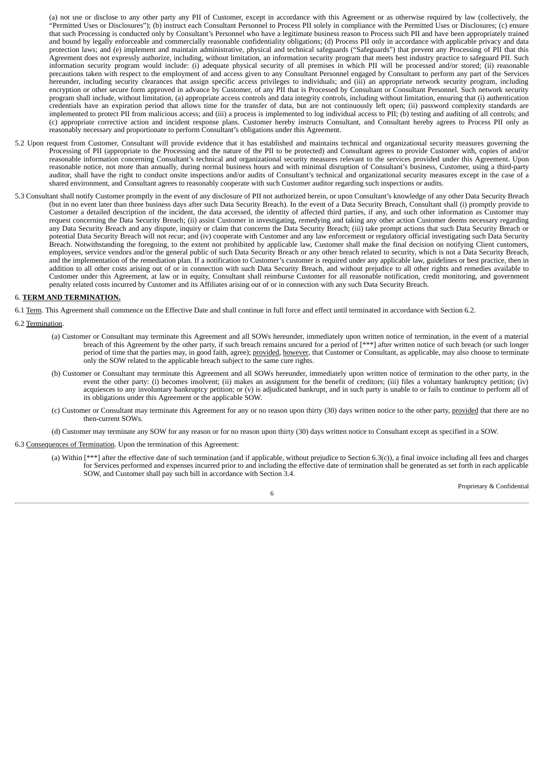(a) not use or disclose to any other party any PII of Customer, except in accordance with this Agreement or as otherwise required by law (collectively, the "Permitted Uses or Disclosures"); (b) instruct each Consultant Personnel to Process PII solely in compliance with the Permitted Uses or Disclosures; (c) ensure that such Processing is conducted only by Consultant's Personnel who have a legitimate business reason to Process such PII and have been appropriately trained and bound by legally enforceable and commercially reasonable confidentiality obligations; (d) Process PII only in accordance with applicable privacy and data protection laws; and (e) implement and maintain administrative, physical and technical safeguards ("Safeguards") that prevent any Processing of PII that this Agreement does not expressly authorize, including, without limitation, an information security program that meets best industry practice to safeguard PII. Such information security program would include: (i) adequate physical security of all premises in which PII will be processed and/or stored; (ii) reasonable precautions taken with respect to the employment of and access given to any Consultant Personnel engaged by Consultant to perform any part of the Services hereunder, including security clearances that assign specific access privileges to individuals; and (iii) an appropriate network security program, including encryption or other secure form approved in advance by Customer, of any PII that is Processed by Consultant or Consultant Personnel. Such network security program shall include, without limitation, (a) appropriate access controls and data integrity controls, including without limitation, ensuring that (i) authentication credentials have an expiration period that allows time for the transfer of data, but are not continuously left open; (ii) password complexity standards are implemented to protect PII from malicious access; and (iii) a process is implemented to log individual access to PII; (b) testing and auditing of all controls; and (c) appropriate corrective action and incident response plans. Customer hereby instructs Consultant, and Consultant hereby agrees to Process PII only as reasonably necessary and proportionate to perform Consultant's obligations under this Agreement.

- 5.2 Upon request from Customer, Consultant will provide evidence that it has established and maintains technical and organizational security measures governing the Processing of PII (appropriate to the Processing and the nature of the PII to be protected) and Consultant agrees to provide Customer with, copies of and/or reasonable information concerning Consultant's technical and organizational security measures relevant to the services provided under this Agreement. Upon reasonable notice, not more than annually, during normal business hours and with minimal disruption of Consultant's business, Customer, using a third-party auditor, shall have the right to conduct onsite inspections and/or audits of Consultant's technical and organizational security measures except in the case of a shared environment, and Consultant agrees to reasonably cooperate with such Customer auditor regarding such inspections or audits.
- 5.3 Consultant shall notify Customer promptly in the event of any disclosure of PII not authorized herein, or upon Consultant's knowledge of any other Data Security Breach (but in no event later than three business days after such Data Security Breach). In the event of a Data Security Breach, Consultant shall (i) promptly provide to Customer a detailed description of the incident, the data accessed, the identity of affected third parties, if any, and such other information as Customer may request concerning the Data Security Breach; (ii) assist Customer in investigating, remedying and taking any other action Customer deems necessary regarding any Data Security Breach and any dispute, inquiry or claim that concerns the Data Security Breach; (iii) take prompt actions that such Data Security Breach or potential Data Security Breach will not recur; and (iv) cooperate with Customer and any law enforcement or regulatory official investigating such Data Security Breach. Notwithstanding the foregoing, to the extent not prohibited by applicable law, Customer shall make the final decision on notifying Client customers, employees, service vendors and/or the general public of such Data Security Breach or any other breach related to security, which is not a Data Security Breach, and the implementation of the remediation plan. If a notification to Customer's customer is required under any applicable law, guidelines or best practice, then in addition to all other costs arising out of or in connection with such Data Security Breach, and without prejudice to all other rights and remedies available to Customer under this Agreement, at law or in equity, Consultant shall reimburse Customer for all reasonable notification, credit monitoring, and government penalty related costs incurred by Customer and its Affiliates arising out of or in connection with any such Data Security Breach.

#### 6. **TERM AND TERMINATION.**

6.1 Term. This Agreement shall commence on the Effective Date and shall continue in full force and effect until terminated in accordance with Section 6.2.

6.2 Termination.

- (a) Customer or Consultant may terminate this Agreement and all SOWs hereunder, immediately upon written notice of termination, in the event of a material breach of this Agreement by the other party, if such breach remains uncured for a period of [\*\*\*] after written notice of such breach (or such longer period of time that the parties may, in good faith, agree); provided, however, that Customer or Consultant, as applicable, may also choose to terminate only the SOW related to the applicable breach subject to the same cure rights.
- (b) Customer or Consultant may terminate this Agreement and all SOWs hereunder, immediately upon written notice of termination to the other party, in the event the other party: (i) becomes insolvent; (ii) makes an assignment for the benefit of creditors; (iii) files a voluntary bankruptcy petition; (iv) acquiesces to any involuntary bankruptcy petition; or (v) is adjudicated bankrupt, and in such party is unable to or fails to continue to perform all of its obligations under this Agreement or the applicable SOW.
- (c) Customer or Consultant may terminate this Agreement for any or no reason upon thirty (30) days written notice to the other party, provided that there are no then-current SOWs.
- (d) Customer may terminate any SOW for any reason or for no reason upon thirty (30) days written notice to Consultant except as specified in a SOW.

6.3 Consequences of Termination. Upon the termination of this Agreement:

(a) Within [\*\*\*] after the effective date of such termination (and if applicable, without prejudice to Section 6.3(c)), a final invoice including all fees and charges for Services performed and expenses incurred prior to and including the effective date of termination shall be generated as set forth in each applicable SOW, and Customer shall pay such bill in accordance with Section 3.4.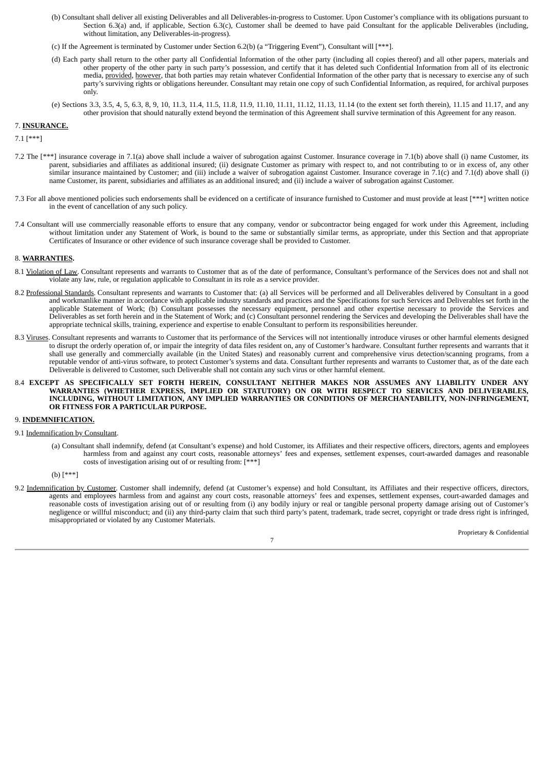- (b) Consultant shall deliver all existing Deliverables and all Deliverables-in-progress to Customer. Upon Customer's compliance with its obligations pursuant to Section 6.3(a) and, if applicable, Section 6.3(c), Customer shall be deemed to have paid Consultant for the applicable Deliverables (including, without limitation, any Deliverables-in-progress).
- (c) If the Agreement is terminated by Customer under Section 6.2(b) (a "Triggering Event"), Consultant will [\*\*\*].
- (d) Each party shall return to the other party all Confidential Information of the other party (including all copies thereof) and all other papers, materials and other property of the other party in such party's possession, and certify that it has deleted such Confidential Information from all of its electronic media, provided, however, that both parties may retain whatever Confidential Information of the other party that is necessary to exercise any of such party's surviving rights or obligations hereunder. Consultant may retain one copy of such Confidential Information, as required, for archival purposes only.
- (e) Sections 3.3, 3.5, 4, 5, 6.3, 8, 9, 10, 11.3, 11.4, 11.5, 11.8, 11.9, 11.10, 11.11, 11.12, 11.13, 11.14 (to the extent set forth therein), 11.15 and 11.17, and any other provision that should naturally extend beyond the termination of this Agreement shall survive termination of this Agreement for any reason.

#### 7. **INSURANCE.**

7.1 [\*\*\*]

- 7.2 The [\*\*\*] insurance coverage in 7.1(a) above shall include a waiver of subrogation against Customer. Insurance coverage in 7.1(b) above shall (i) name Customer, its parent, subsidiaries and affiliates as additional insured; (ii) designate Customer as primary with respect to, and not contributing to or in excess of, any other similar insurance maintained by Customer; and (iii) include a waiver of subrogation against Customer. Insurance coverage in 7.1(c) and 7.1(d) above shall (i) name Customer, its parent, subsidiaries and affiliates as an additional insured; and (ii) include a waiver of subrogation against Customer.
- 7.3 For all above mentioned policies such endorsements shall be evidenced on a certificate of insurance furnished to Customer and must provide at least [\*\*\*] written notice in the event of cancellation of any such policy.
- 7.4 Consultant will use commercially reasonable efforts to ensure that any company, vendor or subcontractor being engaged for work under this Agreement, including without limitation under any Statement of Work, is bound to the same or substantially similar terms, as appropriate, under this Section and that appropriate Certificates of Insurance or other evidence of such insurance coverage shall be provided to Customer.

#### 8. **WARRANTIES.**

- 8.1 Violation of Law. Consultant represents and warrants to Customer that as of the date of performance, Consultant's performance of the Services does not and shall not violate any law, rule, or regulation applicable to Consultant in its role as a service provider.
- 8.2 Professional Standards. Consultant represents and warrants to Customer that: (a) all Services will be performed and all Deliverables delivered by Consultant in a good and workmanlike manner in accordance with applicable industry standards and practices and the Specifications for such Services and Deliverables set forth in the applicable Statement of Work; (b) Consultant possesses the necessary equipment, personnel and other expertise necessary to provide the Services and Deliverables as set forth herein and in the Statement of Work; and (c) Consultant personnel rendering the Services and developing the Deliverables shall have the appropriate technical skills, training, experience and expertise to enable Consultant to perform its responsibilities hereunder.
- 8.3 Viruses. Consultant represents and warrants to Customer that its performance of the Services will not intentionally introduce viruses or other harmful elements designed to disrupt the orderly operation of, or impair the integrity of data files resident on, any of Customer's hardware. Consultant further represents and warrants that it shall use generally and commercially available (in the United States) and reasonably current and comprehensive virus detection/scanning programs, from a reputable vendor of anti-virus software, to protect Customer's systems and data. Consultant further represents and warrants to Customer that, as of the date each Deliverable is delivered to Customer, such Deliverable shall not contain any such virus or other harmful element.
- 8.4 **EXCEPT AS SPECIFICALLY SET FORTH HEREIN, CONSULTANT NEITHER MAKES NOR ASSUMES ANY LIABILITY UNDER ANY WARRANTIES (WHETHER EXPRESS, IMPLIED OR STATUTORY) ON OR WITH RESPECT TO SERVICES AND DELIVERABLES, INCLUDING, WITHOUT LIMITATION, ANY IMPLIED WARRANTIES OR CONDITIONS OF MERCHANTABILITY, NON-INFRINGEMENT, OR FITNESS FOR A PARTICULAR PURPOSE.**

#### 9. **INDEMNIFICATION.**

#### 9.1 Indemnification by Consultant.

(a) Consultant shall indemnify, defend (at Consultant's expense) and hold Customer, its Affiliates and their respective officers, directors, agents and employees harmless from and against any court costs, reasonable attorneys' fees and expenses, settlement expenses, court-awarded damages and reasonable costs of investigation arising out of or resulting from: [\*\*\*]

(b) [\*\*\*]

9.2 Indemnification by Customer. Customer shall indemnify, defend (at Customer's expense) and hold Consultant, its Affiliates and their respective officers, directors, agents and employees harmless from and against any court costs, reasonable attorneys' fees and expenses, settlement expenses, court-awarded damages and reasonable costs of investigation arising out of or resulting from (i) any bodily injury or real or tangible personal property damage arising out of Customer's negligence or willful misconduct; and (ii) any third-party claim that such third party's patent, trademark, trade secret, copyright or trade dress right is infringed, misappropriated or violated by any Customer Materials.

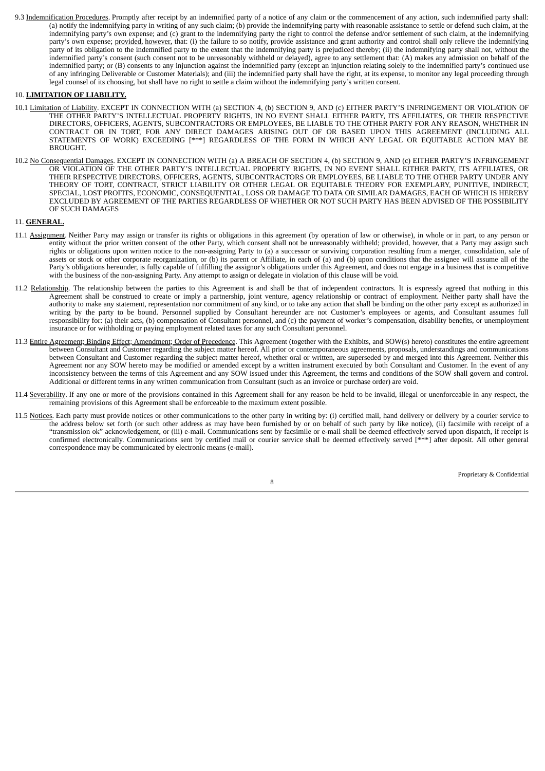9.3 Indemnification Procedures. Promptly after receipt by an indemnified party of a notice of any claim or the commencement of any action, such indemnified party shall: (a) notify the indemnifying party in writing of any such claim; (b) provide the indemnifying party with reasonable assistance to settle or defend such claim, at the indemnifying party's own expense; and (c) grant to the indemnifying party the right to control the defense and/or settlement of such claim, at the indemnifying party's own expense; provided, however, that: (i) the failure to so notify, provide assistance and grant authority and control shall only relieve the indemnifying party of its obligation to the indemnified party to the extent that the indemnifying party is prejudiced thereby; (ii) the indemnifying party shall not, without the indemnified party's consent (such consent not to be unreasonably withheld or delayed), agree to any settlement that: (A) makes any admission on behalf of the indemnified party; or (B) consents to any injunction against the indemnified party (except an injunction relating solely to the indemnified party's continued use of any infringing Deliverable or Customer Materials); and (iii) the indemnified party shall have the right, at its expense, to monitor any legal proceeding through legal counsel of its choosing, but shall have no right to settle a claim without the indemnifying party's written consent.

#### 10. **LIMITATION OF LIABILITY.**

- 10.1 Limitation of Liability. EXCEPT IN CONNECTION WITH (a) SECTION 4, (b) SECTION 9, AND (c) EITHER PARTY'S INFRINGEMENT OR VIOLATION OF THE OTHER PARTY'S INTELLECTUAL PROPERTY RIGHTS, IN NO EVENT SHALL EITHER PARTY, ITS AFFILIATES, OR THEIR RESPECTIVE DIRECTORS, OFFICERS, AGENTS, SUBCONTRACTORS OR EMPLOYEES, BE LIABLE TO THE OTHER PARTY FOR ANY REASON, WHETHER IN CONTRACT OR IN TORT, FOR ANY DIRECT DAMAGES ARISING OUT OF OR BASED UPON THIS AGREEMENT (INCLUDING ALL STATEMENTS OF WORK) EXCEEDING [\*\*\*] REGARDLESS OF THE FORM IN WHICH ANY LEGAL OR EQUITABLE ACTION MAY BE BROUGHT.
- 10.2 No Consequential Damages. EXCEPT IN CONNECTION WITH (a) A BREACH OF SECTION 4, (b) SECTION 9, AND (c) EITHER PARTY'S INFRINGEMENT OR VIOLATION OF THE OTHER PARTY'S INTELLECTUAL PROPERTY RIGHTS, IN NO EVENT SHALL EITHER PARTY, ITS AFFILIATES, OR THEIR RESPECTIVE DIRECTORS, OFFICERS, AGENTS, SUBCONTRACTORS OR EMPLOYEES, BE LIABLE TO THE OTHER PARTY UNDER ANY THEORY OF TORT, CONTRACT, STRICT LIABILITY OR OTHER LEGAL OR EQUITABLE THEORY FOR EXEMPLARY, PUNITIVE, INDIRECT, SPECIAL, LOST PROFITS, ECONOMIC, CONSEQUENTIAL, LOSS OR DAMAGE TO DATA OR SIMILAR DAMAGES, EACH OF WHICH IS HEREBY EXCLUDED BY AGREEMENT OF THE PARTIES REGARDLESS OF WHETHER OR NOT SUCH PARTY HAS BEEN ADVISED OF THE POSSIBILITY OF SUCH DAMAGES

#### 11. **GENERAL.**

- 11.1 Assignment. Neither Party may assign or transfer its rights or obligations in this agreement (by operation of law or otherwise), in whole or in part, to any person or entity without the prior written consent of the other Party, which consent shall not be unreasonably withheld; provided, however, that a Party may assign such rights or obligations upon written notice to the non-assigning Party to (a) a successor or surviving corporation resulting from a merger, consolidation, sale of assets or stock or other corporate reorganization, or (b) its parent or Affiliate, in each of (a) and (b) upon conditions that the assignee will assume all of the Party's obligations hereunder, is fully capable of fulfilling the assignor's obligations under this Agreement, and does not engage in a business that is competitive with the business of the non-assigning Party. Any attempt to assign or delegate in violation of this clause will be void.
- 11.2 Relationship. The relationship between the parties to this Agreement is and shall be that of independent contractors. It is expressly agreed that nothing in this Agreement shall be construed to create or imply a partnership, joint venture, agency relationship or contract of employment. Neither party shall have the authority to make any statement, representation nor commitment of any kind, or to take any action that shall be binding on the other party except as authorized in writing by the party to be bound. Personnel supplied by Consultant hereunder are not Customer's employees or agents, and Consultant assumes full responsibility for: (a) their acts, (b) compensation of Consultant personnel, and (c) the payment of worker's compensation, disability benefits, or unemployment insurance or for withholding or paying employment related taxes for any such Consultant personnel.
- 11.3 Entire Agreement; Binding Effect; Amendment; Order of Precedence. This Agreement (together with the Exhibits, and SOW(s) hereto) constitutes the entire agreement between Consultant and Customer regarding the subject matter hereof. All prior or contemporaneous agreements, proposals, understandings and communications between Consultant and Customer regarding the subject matter hereof, whether oral or written, are superseded by and merged into this Agreement. Neither this Agreement nor any SOW hereto may be modified or amended except by a written instrument executed by both Consultant and Customer. In the event of any inconsistency between the terms of this Agreement and any SOW issued under this Agreement, the terms and conditions of the SOW shall govern and control. Additional or different terms in any written communication from Consultant (such as an invoice or purchase order) are void.
- 11.4 Severability. If any one or more of the provisions contained in this Agreement shall for any reason be held to be invalid, illegal or unenforceable in any respect, the remaining provisions of this Agreement shall be enforceable to the maximum extent possible.
- 11.5 Notices. Each party must provide notices or other communications to the other party in writing by: (i) certified mail, hand delivery or delivery by a courier service to the address below set forth (or such other address as may have been furnished by or on behalf of such party by like notice), (ii) facsimile with receipt of a "transmission ok" acknowledgement, or (iii) e-mail. Communications sent by facsimile or e-mail shall be deemed effectively served upon dispatch, if receipt is confirmed electronically. Communications sent by certified mail or courier service shall be deemed effectively served [\*\*\*] after deposit. All other general correspondence may be communicated by electronic means (e-mail).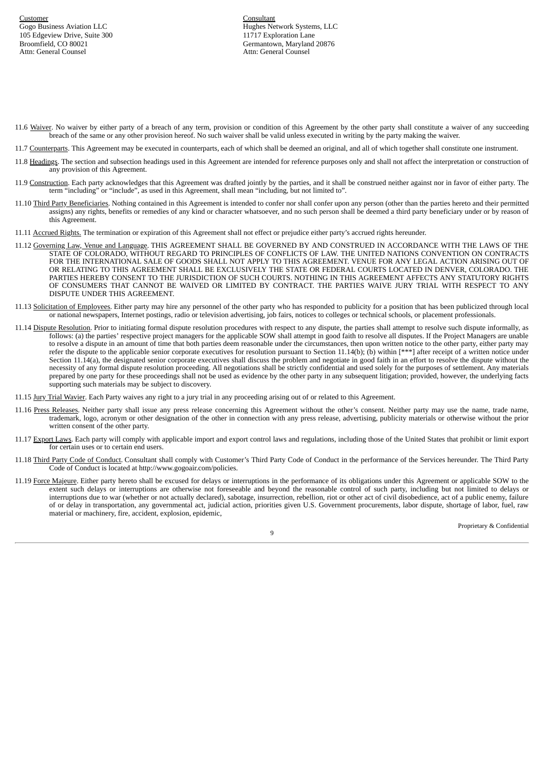Hughes Network Systems, LLC Germantown, Maryland 20876 Attn: General Counsel

- 11.6 Waiver. No waiver by either party of a breach of any term, provision or condition of this Agreement by the other party shall constitute a waiver of any succeeding breach of the same or any other provision hereof. No such waiver shall be valid unless executed in writing by the party making the waiver.
- 11.7 Counterparts. This Agreement may be executed in counterparts, each of which shall be deemed an original, and all of which together shall constitute one instrument.
- 11.8 Headings. The section and subsection headings used in this Agreement are intended for reference purposes only and shall not affect the interpretation or construction of any provision of this Agreement.
- 11.9 Construction. Each party acknowledges that this Agreement was drafted jointly by the parties, and it shall be construed neither against nor in favor of either party. The term "including" or "include", as used in this Agreement, shall mean "including, but not limited to".
- 11.10 Third Party Beneficiaries. Nothing contained in this Agreement is intended to confer nor shall confer upon any person (other than the parties hereto and their permitted assigns) any rights, benefits or remedies of any kind or character whatsoever, and no such person shall be deemed a third party beneficiary under or by reason of this Agreement.
- 11.11 Accrued Rights. The termination or expiration of this Agreement shall not effect or prejudice either party's accrued rights hereunder.
- 11.12 Governing Law, Venue and Language. THIS AGREEMENT SHALL BE GOVERNED BY AND CONSTRUED IN ACCORDANCE WITH THE LAWS OF THE STATE OF COLORADO, WITHOUT REGARD TO PRINCIPLES OF CONFLICTS OF LAW. THE UNITED NATIONS CONVENTION ON CONTRACTS FOR THE INTERNATIONAL SALE OF GOODS SHALL NOT APPLY TO THIS AGREEMENT. VENUE FOR ANY LEGAL ACTION ARISING OUT OF OR RELATING TO THIS AGREEMENT SHALL BE EXCLUSIVELY THE STATE OR FEDERAL COURTS LOCATED IN DENVER, COLORADO. THE PARTIES HEREBY CONSENT TO THE JURISDICTION OF SUCH COURTS. NOTHING IN THIS AGREEMENT AFFECTS ANY STATUTORY RIGHTS OF CONSUMERS THAT CANNOT BE WAIVED OR LIMITED BY CONTRACT. THE PARTIES WAIVE JURY TRIAL WITH RESPECT TO ANY DISPUTE UNDER THIS AGREEMENT.
- 11.13 Solicitation of Employees. Either party may hire any personnel of the other party who has responded to publicity for a position that has been publicized through local or national newspapers, Internet postings, radio or television advertising, job fairs, notices to colleges or technical schools, or placement professionals.
- 11.14 Dispute Resolution. Prior to initiating formal dispute resolution procedures with respect to any dispute, the parties shall attempt to resolve such dispute informally, as follows: (a) the parties' respective project managers for the applicable SOW shall attempt in good faith to resolve all disputes. If the Project Managers are unable to resolve a dispute in an amount of time that both parties deem reasonable under the circumstances, then upon written notice to the other party, either party may refer the dispute to the applicable senior corporate executives for resolution pursuant to Section 11.14(b); (b) within  $[***]$  after receipt of a written notice under Section 11.14(a), the designated senior corporate executives shall discuss the problem and negotiate in good faith in an effort to resolve the dispute without the necessity of any formal dispute resolution proceeding. All negotiations shall be strictly confidential and used solely for the purposes of settlement. Any materials prepared by one party for these proceedings shall not be used as evidence by the other party in any subsequent litigation; provided, however, the underlying facts supporting such materials may be subject to discovery.
- 11.15 Jury Trial Wavier. Each Party waives any right to a jury trial in any proceeding arising out of or related to this Agreement.
- 11.16 Press Releases. Neither party shall issue any press release concerning this Agreement without the other's consent. Neither party may use the name, trade name, trademark, logo, acronym or other designation of the other in connection with any press release, advertising, publicity materials or otherwise without the prior written consent of the other party.
- 11.17 Export Laws. Each party will comply with applicable import and export control laws and regulations, including those of the United States that prohibit or limit export for certain uses or to certain end users.
- 11.18 Third Party Code of Conduct. Consultant shall comply with Customer's Third Party Code of Conduct in the performance of the Services hereunder. The Third Party Code of Conduct is located at http://www.gogoair.com/policies.
- 11.19 Force Majeure. Either party hereto shall be excused for delays or interruptions in the performance of its obligations under this Agreement or applicable SOW to the extent such delays or interruptions are otherwise not foreseeable and beyond the reasonable control of such party, including but not limited to delays or interruptions due to war (whether or not actually declared), sabotage, insurrection, rebellion, riot or other act of civil disobedience, act of a public enemy, failure of or delay in transportation, any governmental act, judicial action, priorities given U.S. Government procurements, labor dispute, shortage of labor, fuel, raw material or machinery, fire, accident, explosion, epidemic,

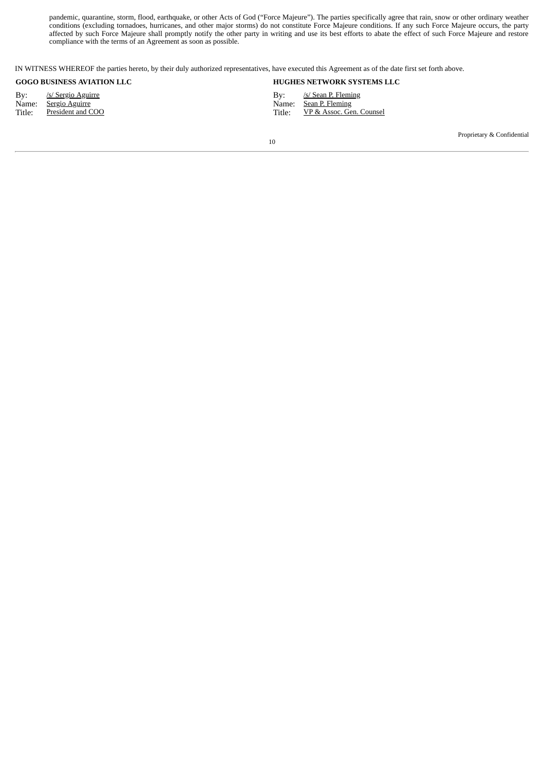pandemic, quarantine, storm, flood, earthquake, or other Acts of God ("Force Majeure"). The parties specifically agree that rain, snow or other ordinary weather conditions (excluding tornadoes, hurricanes, and other major storms) do not constitute Force Majeure conditions. If any such Force Majeure occurs, the party affected by such Force Majeure shall promptly notify the other party in writing and use its best efforts to abate the effect of such Force Majeure and restore compliance with the terms of an Agreement as soon as possible.

IN WITNESS WHEREOF the parties hereto, by their duly authorized representatives, have executed this Agreement as of the date first set forth above.

By: <u>/s/ Sergio Aguirre</u> <br>
Name: <u>Sergio Aguirre</u> 
By: *S/ Sean P. Fleming*<br>
Name: <u>Sergio Aguirre</u> 
By: *S/ Sean P. Fleming* 

#### **GOGOGOGIC BUSINESS AVIATION BUSINESS AVIATION AT A LCC BUSINESS AND LCCC.**

Sean P. Fleming Title: President and COO Title: President and COO Title: PERSONAL SERVICE SERVICE SERVICE SERVICE SERVICE SERVICE SERVICE SERVICE SERVICE SERVICE SERVICE SERVICE SERVICE SERVICE SERVICE SERVICE SERVICE SERVICE SERVICE SERV